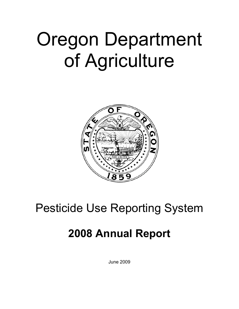# Oregon Department of Agriculture



# Pesticide Use Reporting System

# **2008 Annual Report**

June 2009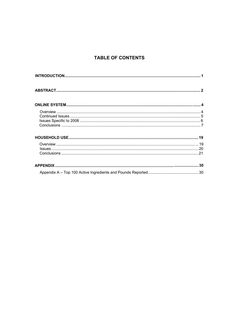# **TABLE OF CONTENTS**

| $\textsf{lssues} \textcolor{red}{\texttt{}} \textcolor{red}{\texttt{}} \textcolor{red}{\texttt{}} \textcolor{red}{\texttt{}} \textcolor{red}{\texttt{}} \textcolor{red}{\texttt{}} \textcolor{red}{\texttt{}} \textcolor{red}{\texttt{}} \textcolor{red}{\texttt{}} \textcolor{red}{\texttt{}} \textcolor{red}{\texttt{}} \textcolor{red}{\texttt{}} \textcolor{red}{\texttt{}} \textcolor{red}{\texttt{}} \textcolor{red}{\texttt{}} \textcolor{red}{\texttt{}} \textcolor{red}{\texttt{}} \textcolor{red}{\text$ |
|--------------------------------------------------------------------------------------------------------------------------------------------------------------------------------------------------------------------------------------------------------------------------------------------------------------------------------------------------------------------------------------------------------------------------------------------------------------------------------------------------------------------|
|                                                                                                                                                                                                                                                                                                                                                                                                                                                                                                                    |
|                                                                                                                                                                                                                                                                                                                                                                                                                                                                                                                    |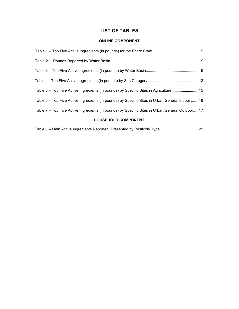## **LIST OF TABLES**

#### **ONLINE COMPONENT**

| Table 5 – Top Five Active Ingredients (in pounds) by Specific Sites in Agriculture 15           |  |
|-------------------------------------------------------------------------------------------------|--|
| Table 6 – Top Five Active Ingredients (in pounds) by Specific Sites in Urban/General Indoor  16 |  |
| Table 7 – Top Five Active Ingredients (in pounds) by Specific Sites in Urban/General Outdoor 17 |  |
| <b>HOUSEHOLD COMPONENT</b>                                                                      |  |
|                                                                                                 |  |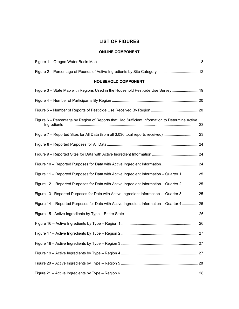## **LIST OF FIGURES**

#### **ONLINE COMPONENT**

| <b>HOUSEHOLD COMPONENT</b>                                                                     |
|------------------------------------------------------------------------------------------------|
| Figure 3 - State Map with Regions Used in the Household Pesticide Use Survey 19                |
|                                                                                                |
|                                                                                                |
| Figure 6 - Percentage by Region of Reports that Had Sufficient Information to Determine Active |
| Figure 7 - Reported Sites for All Data (from all 3,036 total reports received) 23              |
|                                                                                                |
|                                                                                                |
| Figure 10 - Reported Purposes for Data with Active Ingredient Information 24                   |
| Figure 11 – Reported Purposes for Data with Active Ingredient Information – Quarter 1 25       |
| Figure 12 – Reported Purposes for Data with Active Ingredient Information – Quarter 2 25       |
| Figure 13- Reported Purposes for Data with Active Ingredient Information - Quarter 3 25        |
| Figure 14 – Reported Purposes for Data with Active Ingredient Information – Quarter 4  26      |
|                                                                                                |
|                                                                                                |
|                                                                                                |
|                                                                                                |
|                                                                                                |
|                                                                                                |
|                                                                                                |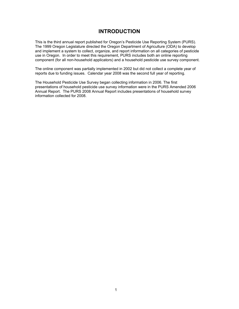# **INTRODUCTION**

This is the third annual report published for Oregon's Pesticide Use Reporting System (PURS). The 1999 Oregon Legislature directed the Oregon Department of Agriculture (ODA) to develop and implement a system to collect, organize, and report information on all categories of pesticide use in Oregon. In order to meet this requirement, PURS includes both an online reporting component (for all non-household applicators) and a household pesticide use survey component.

The online component was partially implemented in 2002 but did not collect a complete year of reports due to funding issues. Calendar year 2008 was the second full year of reporting.

The Household Pesticide Use Survey began collecting information in 2006. The first presentations of household pesticide use survey information were in the PURS Amended 2006 Annual Report. The PURS 2008 Annual Report includes presentations of household survey information collected for 2008.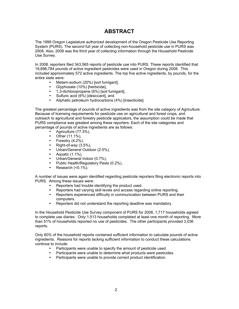# **ABSTRACT**

The 1999 Oregon Legislature authorized development of the Oregon Pesticide Use Reporting System (PURS). The second full year of collecting non-household pesticide use in PURS was 2008. Also, 2008 was the third year of collecting information through the Household Pesticide Use Survey.

In 2008, reporters filed 343,565 reports of pesticide use into PURS. These reports identified that 19,696,784 pounds of active ingredient pesticides were used in Oregon during 2008. This included approximately 572 active ingredients. The top five active ingredients, by pounds, for the entire state were:

- Metam-sodium (20%) [soil fumigant],<br>• Glyphosate (10%) [herbicide],
- Glyphosate (10%) [herbicide],
- 1,3-dichloropropene (6%) [soil fumigant],
- Sulfuric acid (6%) [desiccant], and<br>• Alinhatic petroleum hydrocarbons (
- Aliphatic petroleum hydrocarbons (4%) [insecticide].

The greatest percentage of pounds of active ingredients was from the site category of Agriculture. Because of licensing requirements for pesticide use on agricultural and forest crops, and outreach to agricultural and forestry pesticide applicators, the assumption could be made that PURS compliance was greatest among these reporters. Each of the site categories and percentage of pounds of active ingredients are as follows:

- Agriculture (77.3%),
- Other  $(11.1\%)$ ,<br>• Forestry  $(4.2\%)$
- Forestry (4.2%),
- Right-of-way  $(3.5\%)$ .
- Urban/General Outdoor  $(2.5\%)$ ,<br>• Aquatic  $(1.1\%)$
- Aquatic (1.1%),
- Urban/General Indoor (0.7%),<br>• Public Health/Requisions Pest
- Public Health/Regulatory Pests  $(0.2\%)$ ,<br>• Besearch  $(50.1\%)$
- Research  $(0.1\%)$ .

A number of issues were again identified regarding pesticide reporters filing electronic reports into PURS. Among these issues were:

- Reporters had trouble identifying the product used.<br>• Reporters had varving skill levels and access regare
- 
- Reporters had varying skill levels and access regarding online reporting.<br>• Reporters experienced difficulty in communication between PURS and the • Reporters experienced difficulty in communication between PURS and their computers.
- Reporters did not understand the reporting deadline was mandatory.

In the Household Pesticide Use Survey component of PURS for 2008, 1,717 households agreed to complete use diaries. Only 1,513 households completed at least one month of reporting. More than 51% of households reported no use of pesticides. The other participants provided 3,036 reports.

Only 60% of the household reports contained sufficient information to calculate pounds of active ingredients. Reasons for reports lacking sufficient information to conduct these calculations continue to include:

- Participants were unable to specify the amount of pesticide used.
- Participants were unable to determine what products were pesticides.<br>• Participants were unable to provide correct product identification
- Participants were unable to provide correct product identification.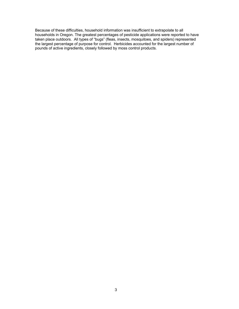Because of these difficulties, household information was insufficient to extrapolate to all households in Oregon. The greatest percentages of pesticide applications were reported to have taken place outdoors. All types of "bugs" (fleas, insects, mosquitoes, and spiders) represented the largest percentage of purpose for control. Herbicides accounted for the largest number of pounds of active ingredients, closely followed by moss control products.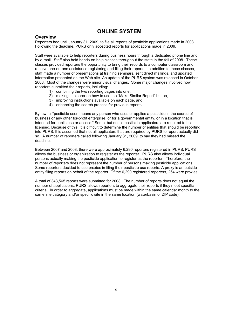# **ONLINE SYSTEM**

#### **Overview**

Reporters had until January 31, 2009, to file all reports of pesticide applications made in 2008. Following the deadline, PURS only accepted reports for applications made in 2009.

Staff were available to help reporters during business hours through a dedicated phone line and by e-mail. Staff also held hands-on help classes throughout the state in the fall of 2008. These classes provided reporters the opportunity to bring their records to a computer classroom and receive one-on-one assistance registering and filing their reports. In addition to these classes, staff made a number of presentations at training seminars, sent direct mailings, and updated information presented on the Web site. An update of the PURS system was released in October 2008. Most of the changes were minor visual changes. Some major changes involved how reporters submitted their reports, including:

- 1) combining the two reporting pages into one,
- 2) making it clearer on how to use the "Make Similar Report" button,
- 3) improving instructions available on each page, and
- 4) enhancing the search process for previous reports.

By law, a "'pesticide user' means any person who uses or applies a pesticide in the course of business or any other for-profit enterprise, or for a governmental entity, or in a location that is intended for public use or access." Some, but not all pesticide applicators are required to be licensed. Because of this, it is difficult to determine the number of entities that should be reporting into PURS. It is assumed that not all applicators that are required by PURS to report actually did so. A number of reporters called following January 31, 2009, to say they had missed the deadline.

Between 2007 and 2008, there were approximately 6,290 reporters registered in PURS. PURS allows the business or organization to register as the reporter. PURS also allows individual persons actually making the pesticide application to register as the reporter. Therefore, the number of reporters does not represent the number of persons making pesticide applications. Some reporters decided to use proxies in filing their pesticide use reports. A proxy is an outside entity filing reports on behalf of the reporter. Of the 6,290 registered reporters, 264 were proxies.

A total of 343,565 reports were submitted for 2008. The number of reports does not equal the number of applications. PURS allows reporters to aggregate their reports if they meet specific criteria. In order to aggregate, applications must be made within the same calendar month to the same site category and/or specific site in the same location (waterbasin or ZIP code).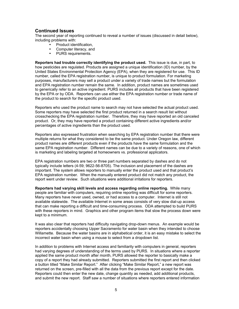#### **Continued Issues**

The second year of reporting continued to reveal a number of issues (discussed in detail below), including problems with:

- Product identification,<br>• Computer literacy and
- Computer literacy, and
- PURS requirements.

**Reporters had trouble correctly identifying the product used.** This issue is due, in part, to how pesticides are regulated. Products are assigned a unique identification (ID) number, by the United States Environmental Protection Agency (EPA), when they are registered for use. This ID number, called the EPA registration number, is unique to product formulation. For marketing purposes, manufacturers may sell a product under a variety of trade names but the formulation and EPA registration number remain the same. In addition, product names are sometimes used to generically refer to an active ingredient. PURS includes all products that have been registered by the EPA or by ODA. Reporters can use either the EPA registration number or trade name of the product to search for the specific product used.

Reporters who used the product name to search may not have selected the actual product used. Some reporters may have selected the first product returned in a search result list without crosschecking the EPA registration number. Therefore, they may have reported an old canceled product. Or, they may have reported a product containing different active ingredients and/or percentages of active ingredients than the product used.

Reporters also expressed frustration when searching by EPA registration number that there were multiple returns for what they considered to be the same product. Under Oregon law, different product names are different products even if the products have the same formulation and the same EPA registration number. Different names can be due to a variety of reasons, one of which is marketing and labeling targeted at homeowners vs. professional applicators.

EPA registration numbers are two or three part numbers separated by dashes and do not typically include letters (4-59; 9622-56-8705). The inclusion and placement of the dashes are important. The system allows reporters to manually enter the product used and that product's EPA registration number. When the manually entered product did not match any product, the report went under review. Such situations were additional irritations for reporters.

**Reporters had varying skill levels and access regarding online reporting.** While many people are familiar with computers, requiring online reporting was difficult for some reporters. Many reporters have never used, owned, or had access to a computer. Internet is still not available statewide. The available Internet in some areas consists of very slow dial-up access that can make reporting a difficult and time-consuming process. ODA attempted to build PURS with these reporters in mind. Graphics and other program items that slow the process down were kept to a minimum.

It was also clear that reporters had difficulty navigating drop-down menus. An example would be reporters accidentally choosing Upper Sacramento for water basin when they intended to choose Willamette. Because the water basins are in alphabetical order, it is an easy mistake to select the incorrect water basin when using a mouse to select from a dropdown list.

In addition to problems with Internet access and familiarity with computers in general, reporters had varying degrees of understanding of the terms used by PURS. In situations where a reporter applied the same product month after month, PURS allowed the reporter to basically make a copy of a report they had already submitted. Reporters submitted the first report and then clicked a button titled "Make Similar Report." After clicking "Make Similar Report," a new report was returned on the screen, pre-filled with all the data from the previous report except for the date. Reporters could then enter the new date, change quantity as needed, add additional products, and submit the new report. Staff saw a number of situations where reporters entered information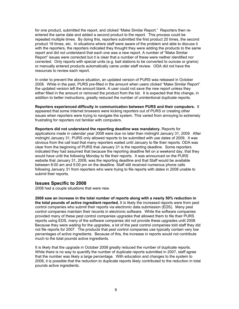for one product, submitted the report, and clicked "Make Similar Report." Reporters then reentered the same date and added a second product to the report. This process could be repeated multiple times. By doing this, reporters submitted the first product 20 times, the second product 19 times, etc. In situations where staff were aware of the problem and able to discuss it with the reporters, the reporters indicated they thought they were adding the products to the same report and did not understand that each one was a new report. A number of "Make Similar Report" issues were corrected but it is clear that a number of these were neither identified nor corrected. Only reports with special units (e.g. bait stations to be converted to ounces or grams) or manually entered products automatically came under staff review. ODA did not have the resources to review each report.

In order to prevent the above situation, an updated version of PURS was released in October 2008. While in the past, PURS pre-filled in the amount when users clicked "Make Similar Report" the updated version left the amount blank. A user could not save the new report unless they either filled in the amount or removed the product from the list. It is expected that this change, in addition to better instructions, greatly reduced the number of unintentional duplicate reports.

**Reporters experienced difficulty in communication between PURS and their computers.** It appeared that some Internet browsers were kicking reporters out of PURS or creating other issues when reporters were trying to navigate the system. This varied from annoying to extremely frustrating for reporters not familiar with computers.

**Reporters did not understand the reporting deadline was mandatory.** Reports for applications made in calendar year 2008 were due no later than midnight January 31, 2009. After midnight January 31, PURS only allowed reports to be submitted with use dates of 2009. It was obvious from the call load that many reporters waited until January to file their reports. ODA was clear from the beginning of PURS that January 31 is the reporting deadline. Some reporters indicated they had assumed that because the reporting deadline fell on a weekend day, that they would have until the following Monday to file their reports. It was announced on the PURS website that January 31, 2009, was the reporting deadline and that Staff would be available between 8:00 am and 5:00 pm on the deadline. Staff still received numerous phone calls following January 31 from reporters who were trying to file reports with dates in 2008 unable to submit their reports.

#### **Issues Specific to 2008**

2008 had a couple situations that were new.

**2008 saw an increase in the total number of reports along with a nearly 50% reduction in the total pounds of active ingredient reported.** It is likely the increased reports were from pest control companies who submit their reports via electronic data submission (EDS). Many pest control companies maintain their records in electronic software. While the software companies provided many of these pest control companies upgrades that allowed them to file their PURS reports using EDS, many of the software companies did not provide these upgrades until 2008. Because they were waiting for the upgrades, a lot of the pest control companies told staff they did not file reports for 2007. The products that pest control companies use typically contain very low percentages of active ingredients. Because of this, the increase in reports would not contribute much to the total pounds active ingredients.

It is likely that the upgrade in October 2008 greatly reduced the number of duplicate reports. While there is no way to quantify the number of duplicate reports submitted in 2007, staff agree that the number was likely a large percentage. With education and changes to the system to 2008, it is possible that the reduction to duplicate reports likely contributed to the reduction in total pounds active ingredients.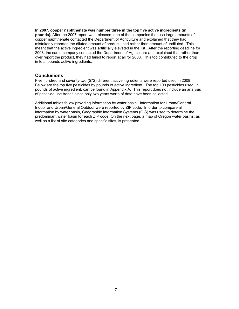**In 2007, copper naphthenate was number three in the top five active ingredients (in pounds).** After the 2007 report was released, one of the companies that use large amounts of copper naphthenate contacted the Department of Agriculture and explained that they had mistakenly reported the diluted amount of product used rather than amount of undiluted. This meant that the active ingredient was artificially elevated in the list. After the reporting deadline for 2008, the same company contacted the Department of Agriculture and explained that rather than over report the product, they had failed to report at all for 2008. This too contributed to the drop in total pounds active ingredients.

#### **Conclusions**

Five hundred and seventy-two (572) different active ingredients were reported used in 2008. Below are the top five pesticides by pounds of active ingredient. The top 100 pesticides used, in pounds of active ingredient, can be found in Appendix A. This report does not include an analysis of pesticide use trends since only two years worth of data have been collected.

Additional tables follow providing information by water basin. Information for Urban/General Indoor and Urban/General Outdoor were reported by ZIP code. In order to compare all information by water basin, Geographic Information Systems (GIS) was used to determine the predominant water basin for each ZIP code. On the next page, a map of Oregon water basins, as well as a list of site categories and specific sites, is presented.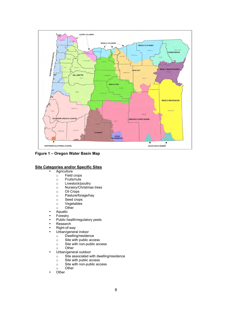

**Figure 1 – Oregon Water Basin Map**

#### **Site Categories and/or Specific Sites**

- Agriculture
	- o Field crops
	- o Fruits/nuts
	- o Livestock/poultry
	- o Nursery/Christmas tress
	- o Oil Crops
	- o Pasture/forage/hay
	- o Seed crops
	- o Vegetables
	- o Other
- Aquatic
- Forestry
- Public health/regulatory pests
- **Research**
- Right-of-way
- Urban/general indoor
	- $\circ$  Dwelling/residence<br> $\circ$  Site with public acce
	- Site with public access<br>○ Site with non-public acc
	- Site with non-public access
	- o Other
- Urban/general outdoor
	- $\circ$  Site associated with dwelling/residence
	- o Site with public access
	- o Site with non-public access
	- o Other
- Other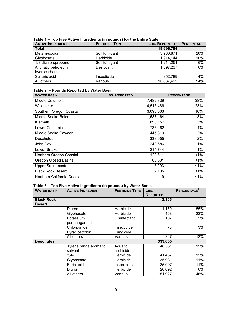| <b>ACTIVE INGREDIENT</b>            | <b>PESTICIDE TYPE</b> | <b>LBS. REPORTED</b> | <b>PERCENTAGE</b> |
|-------------------------------------|-----------------------|----------------------|-------------------|
| <b>Total</b>                        |                       | 19,696,784           |                   |
| Metam-sodium                        | Soil fumigant         | 3,980,871            | 20%               |
| Glyphosate                          | Herbicide             | 1,914,144            | 10%               |
| 1,3-dichloropropene                 | Soil fumigant         | 1,214,251            | 6%                |
| Aliphatic petroleum<br>hydrocarbons | Desiccant             | 1,097,237            | 6%                |
| Sulfuric acid                       | Insecticide           | 852,789              | 4%                |
| All others                          | Various               | 10,637,492           | 54%               |

**Table 1 – Top Five Active Ingredients (in pounds) for the Entire State**

#### **Table 2 – Pounds Reported by Water Basin**

| <b>WATER BASIN</b>          | <b>LBS. REPORTED</b> | <b>PERCENTAGE</b> |
|-----------------------------|----------------------|-------------------|
| Middle Columbia             | 7,482,839            | 38%               |
| Willamette                  | 4,515,486            | 23%               |
| Southern Oregon Coastal     | 3,098,503            | 16%               |
| Middle Snake-Boise          | 1,537,464            | 8%                |
| Klamath                     | 898,157              | 5%                |
| Lower Columbia              | 735,262              | 4%                |
| Middle Snake-Powder         | 445,819              | 2%                |
| <b>Deschutes</b>            | 333,055              | 2%                |
| John Day                    | 240,586              | 1%                |
| Lower Snake                 | 214,744              | 1%                |
| Northern Oregon Coastal     | 123,611              | $1\%$             |
| <b>Oregon Closed Basins</b> | 63,531               | $1\%$             |
| <b>Upper Sacramento</b>     | 5,203                | $1\%$             |
| <b>Black Rock Desert</b>    | 2,105                | $1\%$             |
| Northern California Coastal | 419                  | 1%                |

#### **Table 3 – Top Five Active Ingredients (in pounds) by Water Basin**

| <b>WATER BASIN</b>                 | <b>ACTIVE INGREDIENT</b>         | <b>PESTICIDE TYPE</b> | LBS.<br><b>REPORTED</b> | PERCENTAGE <sup>1</sup> |
|------------------------------------|----------------------------------|-----------------------|-------------------------|-------------------------|
| <b>Black Rock</b><br><b>Desert</b> |                                  |                       | 2,105                   |                         |
|                                    | Diuron                           | Herbicide             | 1,160                   | 55%                     |
|                                    | Glyphosate                       | Herbicide             | 468                     | 22%                     |
|                                    | Potassium<br>permanganate        | <b>Disinfectant</b>   | 107                     | 5%                      |
|                                    | Chlorpyrifos                     | Insecticide           | 73                      | 3%                      |
|                                    | Pyraclostrobin                   | Fungicide             |                         |                         |
|                                    | All others                       | Various               | 247                     | 12%                     |
| <b>Deschutes</b>                   |                                  |                       | 333,055                 |                         |
|                                    | Xylene range aromatic<br>solvent | Aquatic<br>herbicide  | 48,551                  | 15%                     |
|                                    | 2,4-D                            | Herbicide             | 41,457                  | 12%                     |
|                                    | Glyphosate                       | Herbicide             | 35,931                  | 11%                     |
|                                    | Boric acid                       | Insecticide           | 35,097                  | 11%                     |
|                                    | Diuron                           | Herbicide             | 20,092                  | 6%                      |
|                                    | All others                       | Various               | 151,927                 | 46%                     |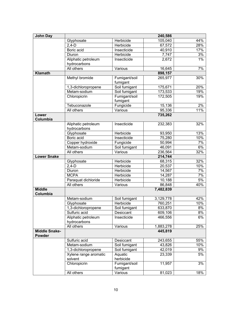| John Day                       |                                     |                           | 240,586   |       |
|--------------------------------|-------------------------------------|---------------------------|-----------|-------|
|                                | Glyphosate                          | <b>Herbicide</b>          | 105,040   | 44%   |
|                                | $2,4-D$                             | Herbicide                 | 67,572    | 28%   |
|                                | Boric acid                          | Insecticide               | 40,910    | 17%   |
|                                | Diuron                              | Herbicide                 | 7,747     | 3%    |
|                                | Aliphatic petroleum<br>hydrocarbons | Insecticide               | 2,672     | $1\%$ |
|                                | All others                          | Various                   | 16,645    | 7%    |
| <b>Klamath</b>                 |                                     |                           | 898,157   |       |
|                                | Methyl bromide                      | Fumigant/soil<br>fumigant | 265,977   | 30%   |
|                                | 1,3-dichloropropene                 | Soil fumigant             | 175,671   | 20%   |
|                                | Metam-sodium                        | Soil fumigant             | 173,533   | 19%   |
|                                | Chloropicrin                        | Fumigant/soil<br>fumigant | 172,505   | 19%   |
|                                | Tebuconazole                        | Fungicide                 | 15,136    | 2%    |
|                                | All others                          | Various                   | 95,336    | 11%   |
| Lower<br>Columbia              |                                     |                           | 735,262   |       |
|                                | Aliphatic petroleum<br>hydrocarbons | Insecticide               | 232,383   | 32%   |
|                                | Glyphosate                          | Herbicide                 | 93,950    | 13%   |
|                                | Boric acid                          | Insecticide               | 75,280    | 10%   |
|                                | Copper hydroxide                    | Fungicide                 | 50,994    | 7%    |
|                                | Metam-sodium                        | Soil fumigant             | 46,091    | 6%    |
|                                | All others                          | Various                   | 236,564   | 32%   |
| <b>Lower Snake</b>             |                                     |                           | 214,744   |       |
|                                | Glyphosate                          | Herbicide                 | 68,315    | 32%   |
|                                | $2,4-D$                             | Herbicide                 | 20,537    | 10%   |
|                                | Diuron                              | Herbicide                 | 14,567    | 7%    |
|                                | <b>MCPA</b>                         | Herbicide                 | 14,287    | 7%    |
|                                | Paraquat dichloride                 | Herbicide                 | 10,188    | 5%    |
|                                | All others                          | Various                   | 86,848    | 40%   |
| <b>Middle</b><br>Columbia      |                                     |                           | 7,482,839 |       |
|                                | Metam-sodium                        | Soil fumigant             | 3,129,778 | 42%   |
|                                | Glyphosate                          | Herbicide                 | 760,251   | 10%   |
|                                | 1,3-dichloropropene                 | Soil fumigant             | 633,870   | 8%    |
|                                | Sulfuric acid                       | Desiccant                 | 609,106   | 8%    |
|                                | Aliphatic petroleum<br>hydrocarbons | Insecticide               | 466,556   | 6%    |
|                                | All others                          | Various                   | 1,883,278 | 25%   |
| <b>Middle Snake-</b><br>Powder |                                     |                           | 445,819   |       |
|                                | Sulfuric acid                       | Desiccant                 | 243,655   | 55%   |
|                                | Metam-sodium                        | Soil fumigant             | 43,826    | 10%   |
|                                | 1,3-dichloropropene                 | Soil fumigant             | 42,019    | 9%    |
|                                | Xylene range aromatic<br>solvent    | Aquatic<br>herbicide      | 23,339    | 5%    |
|                                | Chloropicrin                        | Fumigant/soil<br>fumigant | 11,957    | 3%    |
|                                | All others                          | Various                   | 81,023    | 18%   |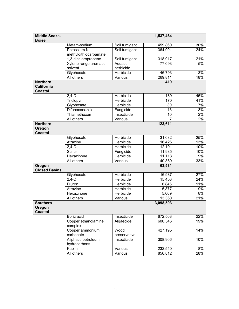| <b>Middle Snake-</b><br><b>Boise</b>            |                                     |               | 1,537,464 |     |
|-------------------------------------------------|-------------------------------------|---------------|-----------|-----|
|                                                 | Metam-sodium                        | Soil fumigant | 459,860   | 30% |
|                                                 | Potassium N-                        | Soil fumigant | 364,991   | 24% |
|                                                 | methyldithiocarbamate               |               |           |     |
|                                                 | 1,3-dichloropropene                 | Soil fumigant | 318,917   | 21% |
|                                                 | Xylene range aromatic               | Aquatic       | 77,093    | 5%  |
|                                                 | solvent                             | herbicide     |           |     |
|                                                 | Glyphosate                          | Herbicide     | 46,793    | 3%  |
|                                                 | All others                          | Various       | 269,811   | 18% |
| <b>Northern</b><br>California<br><b>Coastal</b> |                                     |               | 419       |     |
|                                                 | $2,4-D$                             | Herbicide     | 189       | 45% |
|                                                 | Triclopyr                           | Herbicide     | 170       | 41% |
|                                                 | Glyphosate                          | Herbicide     | 30        | 7%  |
|                                                 | Difenoconazole                      | Fungicide     | 13        | 3%  |
|                                                 | Thiamethoxam                        | Insecticide   | 10        | 2%  |
|                                                 | All others                          | Various       |           | 2%  |
| <b>Northern</b><br>Oregon<br><b>Coastal</b>     |                                     |               | 123,611   |     |
|                                                 | Glyphosate                          | Herbicide     | 31,032    | 25% |
|                                                 | Atrazine                            | Herbicide     | 16,426    | 13% |
|                                                 | $2,4-D$                             | Herbicide     | 12,191    | 10% |
|                                                 | Sulfur                              | Fungicide     | 11,985    | 10% |
|                                                 | Hexazinone                          | Herbicide     | 11,118    | 9%  |
|                                                 | All others                          | Various       | 40,859    | 33% |
| Oregon<br><b>Closed Basins</b>                  |                                     |               | 63,531    |     |
|                                                 | Glyphosate                          | Herbicide     | 16,987    | 27% |
|                                                 | $2,4-D$                             | Herbicide     | 15,453    | 24% |
|                                                 | Diuron                              | Herbicide     | 6,846     | 11% |
|                                                 | Atrazine                            | Herbicide     | 5,877     | 9%  |
|                                                 | Hexazinone                          | Herbicide     | 5,009     | 8%  |
|                                                 | All others                          | Various       | 13,360    | 21% |
| <b>Southern</b><br>Oregon<br><b>Coastal</b>     |                                     |               | 3,098,503 |     |
|                                                 | Boric acid                          | Insecticide   | 672,503   | 22% |
|                                                 | Copper ethanolamine<br>complex      | Algaecide     | 600,546   | 19% |
|                                                 | Copper ammonium                     | Wood          | 427,195   | 14% |
|                                                 | carbonate                           | preservative  |           |     |
|                                                 | Aliphatic petroleum<br>hydrocarbons | Insecticide   | 308,906   | 10% |
|                                                 | Kaolin                              | Various       | 232,540   | 8%  |
|                                                 | All others                          | Various       | 856,812   | 28% |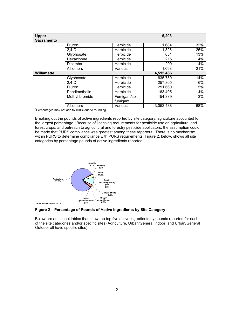| <b>Upper</b><br><b>Sacramento</b> |                |               | 5,203     |     |
|-----------------------------------|----------------|---------------|-----------|-----|
|                                   | Diuron         | Herbicide     | 1,684     | 32% |
|                                   | $2,4-D$        | Herbicide     | 1,326     | 25% |
|                                   | Glyphosate     | Herbicide     | 681       | 13% |
|                                   | Hexazinone     | Herbicide     | 215       | 4%  |
|                                   | Dicamba        | Herbicide     | 200       | 4%  |
|                                   | All others     | Various       | 1,098     | 21% |
| <b>Willamette</b>                 |                |               | 4,515,486 |     |
|                                   | Glyphosate     | Herbicide     | 635,750   | 14% |
|                                   | $2.4-D$        | Herbicide     | 257,805   | 6%  |
|                                   | Diuron         | Herbicide     | 251,660   | 5%  |
|                                   | Pendimethalin  | Herbicide     | 163,495   | 4%  |
|                                   | Methyl bromide | Fumigant/soil | 154,339   | 3%  |
|                                   |                | fumigant      |           |     |
|                                   | All others     | Various       | 3,052,438 | 68% |

Breaking out the pounds of active ingredients reported by site category, agriculture accounted for the largest percentage. Because of licensing requirements for pesticide use on agricultural and forest crops, and outreach to agricultural and forestry pesticide applicators, the assumption could be made that PURS compliance was greatest among these reporters. There is no mechanism within PURS to determine compliance with PURS requirements. Figure 2, below, shows all site categories by percentage pounds of active ingredients reported.



**Figure 2 – Percentage of Pounds of Active Ingredients by Site Category**

Below are additional tables that show the top five active ingredients by pounds reported for each of the site categories and/or specific sites (Agriculture, Urban/General Indoor, and Urban/General Outdoor all have specific sites).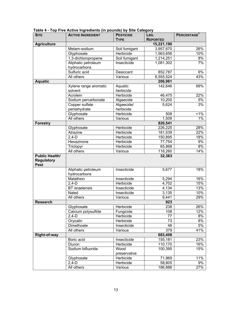| <b>Agriculture</b><br>15,221,190<br>26%<br>Metam-sodium<br>3,957,670<br>Soil fumigant<br>Herbicide<br>10%<br>1,563,656<br>Glyphosate<br>1,3-dichloropropene<br>8%<br>Soil fumigant<br>$\overline{1,}214,251$<br>7%<br>Aliphatic petroleum<br>Insecticide<br>1,081,302<br>hydrocarbons<br>Sulfuric acid<br>6%<br>Desiccant<br>852,787<br>43%<br>6,555,524<br>All others<br>Various<br><b>Aquatic</b><br>206,961<br>69%<br>Xylene range aromatic<br>Aquatic<br>142,646<br>herbicide<br>solvent<br>22%<br>46,475<br>Acrolein<br>Herbicide<br>10,200<br>5%<br>Sodium percarbonate<br>Algaecide<br>5,624<br>3%<br>Copper sulfate<br>Algaecide/<br>herbicide<br>pentahydrate<br>1%<br>Glyphosate<br>Herbicide<br>508<br>1,509<br>$1\%$<br>All others<br>Various<br>820,541<br><b>Forestry</b><br>226,225<br>28%<br>Glyphosate<br>Herbicide<br>22%<br>181,539<br>Atrazine<br>Herbicide<br>18%<br>150,895<br>$2,4-D$<br>Herbicide<br>77,754<br>9%<br>Hexazinone<br>Herbicide<br>8%<br>Herbicide<br>65,868<br>Triclopyr<br>All others<br>14%<br>118,260<br>Various<br><b>Public Health/</b><br>32,383<br><b>Regulatory</b><br><b>Pest</b><br>18%<br>Insecticide<br>Aliphatic petroleum<br>5,677<br>hydrocarbons<br>Malathion<br>Insecticide<br>16%<br>5,294<br>Herbicide<br>15%<br>$2,4-D$<br>4,702<br><b>BT</b> israelensis<br>Insecticide<br>13%<br>4,134<br>Naled<br>Insecticide<br>10%<br>3,135<br>29%<br>Various<br>9,441<br>All others<br><b>Research</b><br>923<br>26%<br>238<br>Herbicide<br>Glyphosate<br>12%<br>Calcium polysulfide<br>108<br>Fungicide<br>Herbicide<br>8%<br>77<br>$2,4-D$<br>Oryzalin<br>Herbicide<br>73<br>8%<br>Dimethoate<br>Insecticide<br>48<br>5%<br>379<br>41%<br>All others<br>Various | <b>SITE</b>  | <b>ACTIVE INGREDIENT</b> | <b>PESTICIDE</b> | LBS.            | PERCENTAGE <sup>1</sup> |
|-------------------------------------------------------------------------------------------------------------------------------------------------------------------------------------------------------------------------------------------------------------------------------------------------------------------------------------------------------------------------------------------------------------------------------------------------------------------------------------------------------------------------------------------------------------------------------------------------------------------------------------------------------------------------------------------------------------------------------------------------------------------------------------------------------------------------------------------------------------------------------------------------------------------------------------------------------------------------------------------------------------------------------------------------------------------------------------------------------------------------------------------------------------------------------------------------------------------------------------------------------------------------------------------------------------------------------------------------------------------------------------------------------------------------------------------------------------------------------------------------------------------------------------------------------------------------------------------------------------------------------------------------------------------------------------------------------------------|--------------|--------------------------|------------------|-----------------|-------------------------|
|                                                                                                                                                                                                                                                                                                                                                                                                                                                                                                                                                                                                                                                                                                                                                                                                                                                                                                                                                                                                                                                                                                                                                                                                                                                                                                                                                                                                                                                                                                                                                                                                                                                                                                                   |              |                          | <b>TYPE</b>      | <b>REPORTED</b> |                         |
|                                                                                                                                                                                                                                                                                                                                                                                                                                                                                                                                                                                                                                                                                                                                                                                                                                                                                                                                                                                                                                                                                                                                                                                                                                                                                                                                                                                                                                                                                                                                                                                                                                                                                                                   |              |                          |                  |                 |                         |
|                                                                                                                                                                                                                                                                                                                                                                                                                                                                                                                                                                                                                                                                                                                                                                                                                                                                                                                                                                                                                                                                                                                                                                                                                                                                                                                                                                                                                                                                                                                                                                                                                                                                                                                   |              |                          |                  |                 |                         |
|                                                                                                                                                                                                                                                                                                                                                                                                                                                                                                                                                                                                                                                                                                                                                                                                                                                                                                                                                                                                                                                                                                                                                                                                                                                                                                                                                                                                                                                                                                                                                                                                                                                                                                                   |              |                          |                  |                 |                         |
|                                                                                                                                                                                                                                                                                                                                                                                                                                                                                                                                                                                                                                                                                                                                                                                                                                                                                                                                                                                                                                                                                                                                                                                                                                                                                                                                                                                                                                                                                                                                                                                                                                                                                                                   |              |                          |                  |                 |                         |
|                                                                                                                                                                                                                                                                                                                                                                                                                                                                                                                                                                                                                                                                                                                                                                                                                                                                                                                                                                                                                                                                                                                                                                                                                                                                                                                                                                                                                                                                                                                                                                                                                                                                                                                   |              |                          |                  |                 |                         |
|                                                                                                                                                                                                                                                                                                                                                                                                                                                                                                                                                                                                                                                                                                                                                                                                                                                                                                                                                                                                                                                                                                                                                                                                                                                                                                                                                                                                                                                                                                                                                                                                                                                                                                                   |              |                          |                  |                 |                         |
|                                                                                                                                                                                                                                                                                                                                                                                                                                                                                                                                                                                                                                                                                                                                                                                                                                                                                                                                                                                                                                                                                                                                                                                                                                                                                                                                                                                                                                                                                                                                                                                                                                                                                                                   |              |                          |                  |                 |                         |
|                                                                                                                                                                                                                                                                                                                                                                                                                                                                                                                                                                                                                                                                                                                                                                                                                                                                                                                                                                                                                                                                                                                                                                                                                                                                                                                                                                                                                                                                                                                                                                                                                                                                                                                   |              |                          |                  |                 |                         |
|                                                                                                                                                                                                                                                                                                                                                                                                                                                                                                                                                                                                                                                                                                                                                                                                                                                                                                                                                                                                                                                                                                                                                                                                                                                                                                                                                                                                                                                                                                                                                                                                                                                                                                                   |              |                          |                  |                 |                         |
|                                                                                                                                                                                                                                                                                                                                                                                                                                                                                                                                                                                                                                                                                                                                                                                                                                                                                                                                                                                                                                                                                                                                                                                                                                                                                                                                                                                                                                                                                                                                                                                                                                                                                                                   |              |                          |                  |                 |                         |
|                                                                                                                                                                                                                                                                                                                                                                                                                                                                                                                                                                                                                                                                                                                                                                                                                                                                                                                                                                                                                                                                                                                                                                                                                                                                                                                                                                                                                                                                                                                                                                                                                                                                                                                   |              |                          |                  |                 |                         |
|                                                                                                                                                                                                                                                                                                                                                                                                                                                                                                                                                                                                                                                                                                                                                                                                                                                                                                                                                                                                                                                                                                                                                                                                                                                                                                                                                                                                                                                                                                                                                                                                                                                                                                                   |              |                          |                  |                 |                         |
|                                                                                                                                                                                                                                                                                                                                                                                                                                                                                                                                                                                                                                                                                                                                                                                                                                                                                                                                                                                                                                                                                                                                                                                                                                                                                                                                                                                                                                                                                                                                                                                                                                                                                                                   |              |                          |                  |                 |                         |
|                                                                                                                                                                                                                                                                                                                                                                                                                                                                                                                                                                                                                                                                                                                                                                                                                                                                                                                                                                                                                                                                                                                                                                                                                                                                                                                                                                                                                                                                                                                                                                                                                                                                                                                   |              |                          |                  |                 |                         |
|                                                                                                                                                                                                                                                                                                                                                                                                                                                                                                                                                                                                                                                                                                                                                                                                                                                                                                                                                                                                                                                                                                                                                                                                                                                                                                                                                                                                                                                                                                                                                                                                                                                                                                                   |              |                          |                  |                 |                         |
|                                                                                                                                                                                                                                                                                                                                                                                                                                                                                                                                                                                                                                                                                                                                                                                                                                                                                                                                                                                                                                                                                                                                                                                                                                                                                                                                                                                                                                                                                                                                                                                                                                                                                                                   |              |                          |                  |                 |                         |
|                                                                                                                                                                                                                                                                                                                                                                                                                                                                                                                                                                                                                                                                                                                                                                                                                                                                                                                                                                                                                                                                                                                                                                                                                                                                                                                                                                                                                                                                                                                                                                                                                                                                                                                   |              |                          |                  |                 |                         |
|                                                                                                                                                                                                                                                                                                                                                                                                                                                                                                                                                                                                                                                                                                                                                                                                                                                                                                                                                                                                                                                                                                                                                                                                                                                                                                                                                                                                                                                                                                                                                                                                                                                                                                                   |              |                          |                  |                 |                         |
|                                                                                                                                                                                                                                                                                                                                                                                                                                                                                                                                                                                                                                                                                                                                                                                                                                                                                                                                                                                                                                                                                                                                                                                                                                                                                                                                                                                                                                                                                                                                                                                                                                                                                                                   |              |                          |                  |                 |                         |
|                                                                                                                                                                                                                                                                                                                                                                                                                                                                                                                                                                                                                                                                                                                                                                                                                                                                                                                                                                                                                                                                                                                                                                                                                                                                                                                                                                                                                                                                                                                                                                                                                                                                                                                   |              |                          |                  |                 |                         |
|                                                                                                                                                                                                                                                                                                                                                                                                                                                                                                                                                                                                                                                                                                                                                                                                                                                                                                                                                                                                                                                                                                                                                                                                                                                                                                                                                                                                                                                                                                                                                                                                                                                                                                                   |              |                          |                  |                 |                         |
|                                                                                                                                                                                                                                                                                                                                                                                                                                                                                                                                                                                                                                                                                                                                                                                                                                                                                                                                                                                                                                                                                                                                                                                                                                                                                                                                                                                                                                                                                                                                                                                                                                                                                                                   |              |                          |                  |                 |                         |
|                                                                                                                                                                                                                                                                                                                                                                                                                                                                                                                                                                                                                                                                                                                                                                                                                                                                                                                                                                                                                                                                                                                                                                                                                                                                                                                                                                                                                                                                                                                                                                                                                                                                                                                   |              |                          |                  |                 |                         |
|                                                                                                                                                                                                                                                                                                                                                                                                                                                                                                                                                                                                                                                                                                                                                                                                                                                                                                                                                                                                                                                                                                                                                                                                                                                                                                                                                                                                                                                                                                                                                                                                                                                                                                                   |              |                          |                  |                 |                         |
|                                                                                                                                                                                                                                                                                                                                                                                                                                                                                                                                                                                                                                                                                                                                                                                                                                                                                                                                                                                                                                                                                                                                                                                                                                                                                                                                                                                                                                                                                                                                                                                                                                                                                                                   |              |                          |                  |                 |                         |
|                                                                                                                                                                                                                                                                                                                                                                                                                                                                                                                                                                                                                                                                                                                                                                                                                                                                                                                                                                                                                                                                                                                                                                                                                                                                                                                                                                                                                                                                                                                                                                                                                                                                                                                   |              |                          |                  |                 |                         |
|                                                                                                                                                                                                                                                                                                                                                                                                                                                                                                                                                                                                                                                                                                                                                                                                                                                                                                                                                                                                                                                                                                                                                                                                                                                                                                                                                                                                                                                                                                                                                                                                                                                                                                                   |              |                          |                  |                 |                         |
|                                                                                                                                                                                                                                                                                                                                                                                                                                                                                                                                                                                                                                                                                                                                                                                                                                                                                                                                                                                                                                                                                                                                                                                                                                                                                                                                                                                                                                                                                                                                                                                                                                                                                                                   |              |                          |                  |                 |                         |
|                                                                                                                                                                                                                                                                                                                                                                                                                                                                                                                                                                                                                                                                                                                                                                                                                                                                                                                                                                                                                                                                                                                                                                                                                                                                                                                                                                                                                                                                                                                                                                                                                                                                                                                   |              |                          |                  |                 |                         |
|                                                                                                                                                                                                                                                                                                                                                                                                                                                                                                                                                                                                                                                                                                                                                                                                                                                                                                                                                                                                                                                                                                                                                                                                                                                                                                                                                                                                                                                                                                                                                                                                                                                                                                                   |              |                          |                  |                 |                         |
|                                                                                                                                                                                                                                                                                                                                                                                                                                                                                                                                                                                                                                                                                                                                                                                                                                                                                                                                                                                                                                                                                                                                                                                                                                                                                                                                                                                                                                                                                                                                                                                                                                                                                                                   |              |                          |                  |                 |                         |
|                                                                                                                                                                                                                                                                                                                                                                                                                                                                                                                                                                                                                                                                                                                                                                                                                                                                                                                                                                                                                                                                                                                                                                                                                                                                                                                                                                                                                                                                                                                                                                                                                                                                                                                   |              |                          |                  |                 |                         |
|                                                                                                                                                                                                                                                                                                                                                                                                                                                                                                                                                                                                                                                                                                                                                                                                                                                                                                                                                                                                                                                                                                                                                                                                                                                                                                                                                                                                                                                                                                                                                                                                                                                                                                                   |              |                          |                  |                 |                         |
|                                                                                                                                                                                                                                                                                                                                                                                                                                                                                                                                                                                                                                                                                                                                                                                                                                                                                                                                                                                                                                                                                                                                                                                                                                                                                                                                                                                                                                                                                                                                                                                                                                                                                                                   |              |                          |                  |                 |                         |
|                                                                                                                                                                                                                                                                                                                                                                                                                                                                                                                                                                                                                                                                                                                                                                                                                                                                                                                                                                                                                                                                                                                                                                                                                                                                                                                                                                                                                                                                                                                                                                                                                                                                                                                   |              |                          |                  |                 |                         |
|                                                                                                                                                                                                                                                                                                                                                                                                                                                                                                                                                                                                                                                                                                                                                                                                                                                                                                                                                                                                                                                                                                                                                                                                                                                                                                                                                                                                                                                                                                                                                                                                                                                                                                                   |              |                          |                  |                 |                         |
|                                                                                                                                                                                                                                                                                                                                                                                                                                                                                                                                                                                                                                                                                                                                                                                                                                                                                                                                                                                                                                                                                                                                                                                                                                                                                                                                                                                                                                                                                                                                                                                                                                                                                                                   |              |                          |                  |                 |                         |
|                                                                                                                                                                                                                                                                                                                                                                                                                                                                                                                                                                                                                                                                                                                                                                                                                                                                                                                                                                                                                                                                                                                                                                                                                                                                                                                                                                                                                                                                                                                                                                                                                                                                                                                   |              |                          |                  |                 |                         |
|                                                                                                                                                                                                                                                                                                                                                                                                                                                                                                                                                                                                                                                                                                                                                                                                                                                                                                                                                                                                                                                                                                                                                                                                                                                                                                                                                                                                                                                                                                                                                                                                                                                                                                                   | Right-of-way |                          |                  | 683,408         |                         |
| Boric acid<br>155,181<br>23%<br>Insecticide                                                                                                                                                                                                                                                                                                                                                                                                                                                                                                                                                                                                                                                                                                                                                                                                                                                                                                                                                                                                                                                                                                                                                                                                                                                                                                                                                                                                                                                                                                                                                                                                                                                                       |              |                          |                  |                 |                         |
| 16%<br>Herbicide<br>110,170<br>Diuron                                                                                                                                                                                                                                                                                                                                                                                                                                                                                                                                                                                                                                                                                                                                                                                                                                                                                                                                                                                                                                                                                                                                                                                                                                                                                                                                                                                                                                                                                                                                                                                                                                                                             |              |                          |                  |                 |                         |
| Sodium bifluoride<br>15%<br>Wood<br>100,395                                                                                                                                                                                                                                                                                                                                                                                                                                                                                                                                                                                                                                                                                                                                                                                                                                                                                                                                                                                                                                                                                                                                                                                                                                                                                                                                                                                                                                                                                                                                                                                                                                                                       |              |                          |                  |                 |                         |
| preservative                                                                                                                                                                                                                                                                                                                                                                                                                                                                                                                                                                                                                                                                                                                                                                                                                                                                                                                                                                                                                                                                                                                                                                                                                                                                                                                                                                                                                                                                                                                                                                                                                                                                                                      |              |                          |                  |                 |                         |
| 11%<br>Glyphosate<br>Herbicide<br>71,969                                                                                                                                                                                                                                                                                                                                                                                                                                                                                                                                                                                                                                                                                                                                                                                                                                                                                                                                                                                                                                                                                                                                                                                                                                                                                                                                                                                                                                                                                                                                                                                                                                                                          |              |                          |                  |                 |                         |
| 9%<br>$2,4-D$<br>Herbicide<br>58,805                                                                                                                                                                                                                                                                                                                                                                                                                                                                                                                                                                                                                                                                                                                                                                                                                                                                                                                                                                                                                                                                                                                                                                                                                                                                                                                                                                                                                                                                                                                                                                                                                                                                              |              |                          |                  |                 |                         |
| All others<br>Various<br>27%<br>186,888                                                                                                                                                                                                                                                                                                                                                                                                                                                                                                                                                                                                                                                                                                                                                                                                                                                                                                                                                                                                                                                                                                                                                                                                                                                                                                                                                                                                                                                                                                                                                                                                                                                                           |              |                          |                  |                 |                         |

**Table 4 - Top Five Active Ingredients (in pounds) by Site Category**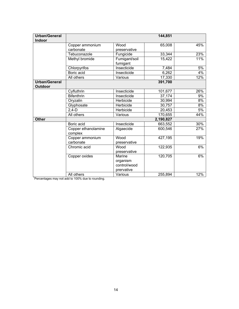| Urban/General<br>Indoor                |                                |                                                  | 144,851   |     |
|----------------------------------------|--------------------------------|--------------------------------------------------|-----------|-----|
|                                        | Copper ammonium                | Wood                                             | 65,008    | 45% |
|                                        | carbonate                      | preservative                                     |           |     |
|                                        | Tebuconazole                   | Fungicide                                        | 33,344    | 23% |
|                                        | Methyl bromide                 | Fumigant/soil<br>fumigant                        | 15,422    | 11% |
|                                        | Chlorpyrifos                   | Insecticide                                      | 7,484     | 5%  |
|                                        | Boric acid                     | Insecticide                                      | 6,262     | 4%  |
|                                        | All others                     | Various                                          | 17,330    | 12% |
| <b>Urban/General</b><br><b>Outdoor</b> |                                |                                                  | 391,700   |     |
|                                        | Cyfluthrin                     | Insecticide                                      | 101,677   | 26% |
|                                        | <b>Bifenthrin</b>              | Insecticide                                      | 37,174    | 9%  |
|                                        | Oryzalin                       | Herbicide                                        | 30,994    | 8%  |
|                                        | Glyphosate                     | Herbicide                                        | 30,757    | 8%  |
|                                        | $2,4-D$                        | Herbicide                                        | 20,453    | 5%  |
|                                        | All others                     | Various                                          | 170,655   | 44% |
| <b>Other</b>                           |                                |                                                  | 2,190,827 |     |
|                                        | Boric acid                     | Insecticide                                      | 663,552   | 30% |
|                                        | Copper ethanolamine<br>complex | Algaecide                                        | 600,546   | 27% |
|                                        | Copper ammonium<br>carbonate   | Wood<br>preservative                             | 427,195   | 19% |
|                                        | Chromic acid                   | Wood<br>preservative                             | 122,935   | 6%  |
|                                        | Copper oxides                  | Marine<br>organism<br>control/wood<br>prervative | 120,705   | 6%  |
|                                        | All others                     | Various                                          | 255,894   | 12% |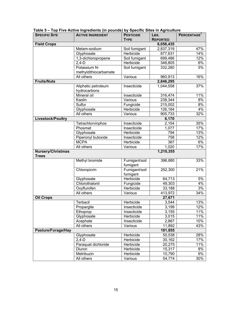| <b>SPECIFIC SITE</b>                     | <b>ACTIVE INGREDIENT</b> | <b>PESTICIDE</b>   | LBS.            | PERCENTAGE <sup>1</sup> |
|------------------------------------------|--------------------------|--------------------|-----------------|-------------------------|
|                                          |                          | <b>TYPE</b>        | <b>REPORTED</b> |                         |
| <b>Field Crops</b>                       |                          |                    | 6,056,435       |                         |
|                                          | Metam-sodium             | Soil fumigant      | 2,837,319       | 47%                     |
|                                          | Glyphosate               | Herbicide          | 877,631         | 14%                     |
|                                          | 1.3-dichloropropene      | Soil fumigant      | 699,486         | 12%                     |
|                                          | $2,4-D$                  | Herbicide          | 348,805         | 6%                      |
|                                          | Potassium N-             | Soil fumigant      | 332,280         | 5%                      |
|                                          | methyldithiocarbamate    |                    |                 |                         |
|                                          | All others               | Various            | 960,913         | 16%                     |
| <b>Fruits/Nuts</b>                       |                          |                    | 2,846,295       |                         |
|                                          | Aliphatic petroleum      | Insecticide        | 1,044,558       | 37%                     |
|                                          | hydrocarbons             |                    |                 |                         |
|                                          | <b>Mineral oil</b>       | Insecticide        | 316,474         | 11%                     |
|                                          | Kaolin                   | Various            | 238,344         | 8%                      |
|                                          | Sulfur                   | Fungicide          | 215,002         | $8\%$                   |
|                                          | Glyphosate               | <b>Herbicide</b>   | 126,184         | $4\%$                   |
|                                          | All others               | Various            | 905,733         | 32%                     |
| <b>Livestock/Poultry</b>                 |                          |                    | 6,170           |                         |
|                                          | Tetrachlorvinphos        | Insecticide        | 2,154           | 35%                     |
|                                          | Phosmet                  | Insecticide        | 1,077           | 17%                     |
|                                          | Glyphosate               | <b>Herbicide</b>   | 794             | 13%                     |
|                                          | Piperonyl butoxide       | Insecticide        | 758             | 12%                     |
|                                          | <b>MCPA</b>              | <b>Herbicide</b>   | 367             | 6%                      |
|                                          | All others               | Various            | 1,020           | 17%                     |
| <b>Nursery/Christmas</b><br><b>Trees</b> |                          |                    | 1,210,355       |                         |
|                                          | Methyl bromide           | Fumigant/soil      | 396,880         | 33%                     |
|                                          |                          | fumigant           |                 |                         |
|                                          | Chloropicrin             | Fumigant/soil      | 252,300         | 21%                     |
|                                          |                          | fumigant           |                 |                         |
|                                          | Glyphosate               | <b>Herbicide</b>   | 64,713          | 5%                      |
|                                          | Chlorothalonil           | Fungicide          | 49,303          | 4%                      |
|                                          | Oxyflurofen              | Herbicide          | 33,188          | 3%                      |
|                                          | All others               | Various            | 413,972         | 34%                     |
| <b>Oil Crops</b>                         |                          |                    | 27,671          |                         |
|                                          | Terbacil                 | Herbicide          | 3,544           | 13%                     |
|                                          | Propargite               | Insecticide        | 3,199           | 12%                     |
|                                          | Ethoprop                 | Insecticide        | 3,155           | 11%                     |
|                                          | Glyphosate               | Herbicide          | 3,015           | 11%                     |
|                                          | Acephate                 | <b>Insecticide</b> | 2,867           | 10%                     |
|                                          | All others               | Various            | 11,892          | 43%                     |
| Pasture/Forage/Hay                       |                          |                    | 181,855         |                         |
|                                          | Glyphosate               | Herbicide          | 50,538          | 28%                     |
|                                          | $2,4-D$                  | Herbicide          | 30,162          | 17%                     |
|                                          | Paraquat dichloride      | Herbicide          | 20,275          | 11%                     |
|                                          | Diuron                   | Herbicide          | 15,317          | 8%                      |
|                                          | Metribuzin               | Herbicide          | 10,790          | 6%                      |
|                                          | All others               | Various            | 54,774          | 30%                     |

**Table 5 – Top Five Active Ingredients (in pounds) by Specific Sites in Agriculture**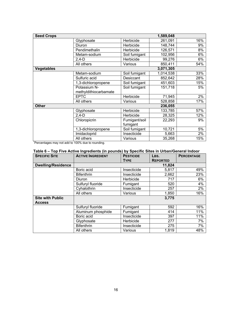| <b>Seed Crops</b> |                       |               | 1,589,048 |     |
|-------------------|-----------------------|---------------|-----------|-----|
|                   | Glyphosate            | Herbicide     | 261,091   | 16% |
|                   | <b>Diuron</b>         | Herbicide     | 148,744   | 9%  |
|                   | Pendimethalin         | Herbicide     | 126,571   | 8%  |
|                   | Metam-sodium          | Soil fumigant | 102,956   | 6%  |
|                   | 2,4-D                 | Herbicide     | 99,276    | 6%  |
|                   | All others            | Various       | 850,411   | 54% |
| <b>Vegetables</b> |                       |               | 3,071,305 |     |
|                   | Metam-sodium          | Soil fumigant | 1,014,538 | 33% |
|                   | Sulfuric acid         | Desiccant     | 852,642   | 28% |
|                   | 1,3-dichloropropene   | Soil fumigant | 451,603   | 15% |
|                   | Potassium N-          | Soil fumigant | 151,718   | 5%  |
|                   | methyldithiocarbamate |               |           |     |
|                   | <b>EPTC</b>           | Herbicide     | 71,945    | 2%  |
|                   | All others            | Various       | 528,858   | 17% |
| <b>Other</b>      |                       |               | 236,055   |     |
|                   | Glyphosate            | Herbicide     | 133,785   | 57% |
|                   | $2,4-D$               | Herbicide     | 28,325    | 12% |
|                   | Chloropicrin          | Fumigant/soil | 22,293    | 9%  |
|                   |                       | fumigant      |           |     |
|                   | 1,3-dichloropropene   | Soil fumigant | 10,721    | 5%  |
|                   | Imidacloprid          | Insecticide   | 5,663     | 2%  |
|                   | All others            | Various       | 35,268    | 15% |

#### **Table 6 – Top Five Active Ingredients (in pounds) by Specific Sites in Urban/General Indoor**

| <b>SPECIFIC SITE</b>      | <b>ACTIVE INGREDIENT</b> | <b>PESTICIDE</b><br><b>TYPE</b> | LBS.<br><b>REPORTED</b> | <b>PERCENTAGE</b> |
|---------------------------|--------------------------|---------------------------------|-------------------------|-------------------|
|                           |                          |                                 |                         |                   |
| <b>Dwelling/Residence</b> |                          |                                 | 11,824                  |                   |
|                           | Boric acid               | Insecticide                     | 5,817                   | 49%               |
|                           | <b>Bifenthrin</b>        | Insecticide                     | 2,662                   | 23%               |
|                           | Diuron                   | Herbicide                       | 717                     | 6%                |
|                           | Sulfuryl fluoride        | Fumigant                        | 520                     | 4%                |
|                           | Cyhalothrin              | Insecticide                     | 257                     | 2%                |
|                           | All others               | Various                         | 1,850                   | 16%               |
| <b>Site with Public</b>   |                          |                                 | 3,775                   |                   |
| <b>Access</b>             |                          |                                 |                         |                   |
|                           | Sulfuryl fluoride        | Fumigant                        | 592                     | 16%               |
|                           | Aluminum phosphide       | Fumigant                        | 414                     | 11%               |
|                           | Boric acid               | Insecticide                     | 397                     | 11%               |
|                           | Glyphosate               | Herbicide                       | 277                     | 7%                |
|                           | <b>Bifenthrin</b>        | Insecticide                     | 275                     | 7%                |
|                           | All others               | Various                         | 1,819                   | 48%               |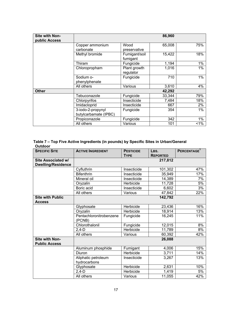| Site with Non-<br>public Access |                                            |                           | 86,960 |       |
|---------------------------------|--------------------------------------------|---------------------------|--------|-------|
|                                 | Copper ammonium                            | Wood                      | 65,008 | 75%   |
|                                 | carbonate                                  | preservative              |        |       |
|                                 | Methyl bromide                             | Fumigant/soil<br>fumigant | 15,422 | 18%   |
|                                 | Thiram                                     | Fungicide                 | 1,194  | 1%    |
|                                 | Chloropropham                              | Plant growth<br>regulator | 1,016  | $1\%$ |
|                                 | Sodium o-                                  | Fungicide                 | 710    | 1%    |
|                                 | phenylphenate                              |                           |        |       |
|                                 | All others                                 | Various                   | 3,610  | 4%    |
| <b>Other</b>                    |                                            |                           | 42,292 |       |
|                                 | Tebuconazole                               | Fungicide                 | 33,344 | 79%   |
|                                 | Chlorpyrifos                               | Insecticide               | 7,484  | 18%   |
|                                 | Imidacloprid                               | Insecticide               | 667    | 2%    |
|                                 | 3-iodo-2-propynyl<br>butylcarbamate (IPBC) | Fungicide                 | 354    | 1%    |
|                                 | Propiconazole                              | Fungicide                 | 342    | 1%    |
|                                 | All others                                 | Various                   | 101    | $1\%$ |

**Table 7 – Top Five Active Ingredients (in pounds) by Specific Sites in Urban/General Outdoor**

| <b>SPECIFIC SITE</b>                            | <b>ACTIVE INGREDIENT</b>            | <b>PESTICIDE</b><br><b>TYPE</b> | LBS.<br><b>REPORTED</b> | PERCENTAGE <sup>1</sup> |
|-------------------------------------------------|-------------------------------------|---------------------------------|-------------------------|-------------------------|
| Site Associated w/<br><b>Dwelling/Residence</b> |                                     |                                 | 217,812                 |                         |
|                                                 | Cyfluthrin                          | Insecticide                     | 101,302                 | 47%                     |
|                                                 | <b>Bifenthrin</b>                   | Insecticide                     | 35,949                  | 17%                     |
|                                                 | Mineral oil                         | Insecticide                     | 14,389                  | 7%                      |
|                                                 | Oryzalin                            | Herbicide                       | 11,728                  | 5%                      |
|                                                 | Boric acid                          | Insecticide                     | 6,602                   | 3%                      |
|                                                 | All others                          | Various                         | 47,842                  | 22%                     |
| <b>Site with Public</b><br><b>Access</b>        |                                     |                                 | 142,792                 |                         |
|                                                 | Glyphosate                          | Herbicide                       | 23,436                  | 16%                     |
|                                                 | Oryzalin                            | Herbicide                       | 18,914                  | 13%                     |
|                                                 | Pentachloronitrobenzene<br>(PCNB)   | Fungicide                       | 16,245                  | 11%                     |
|                                                 | Chlorothalonil                      | Fungicide                       | 12,015                  | 8%                      |
|                                                 | $2,4-D$                             | Herbicide                       | 11,789                  | 8%                      |
|                                                 | All others                          | Various                         | 60,392                  | 42%                     |
| <b>Site with Non-</b><br><b>Public Access</b>   |                                     |                                 | 26,088                  |                         |
|                                                 | Aluminum phosphide                  | Fumigant                        | 4,006                   | 15%                     |
|                                                 | Diuron                              | Herbicide                       | 3,711                   | 14%                     |
|                                                 | Aliphatic petroleum<br>hydrocarbons | Insecticide                     | 3,267                   | 13%                     |
|                                                 | Glyphosate                          | Herbicide                       | 2,631                   | 10%                     |
|                                                 | $2,4-D$                             | Herbicide                       | 1,419                   | 5%                      |
|                                                 | All others                          | Various                         | 11,055                  | 42%                     |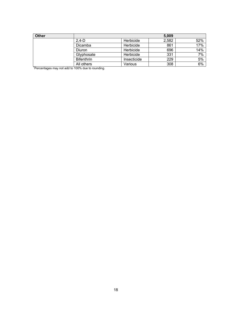| <b>Other</b> |                   |                  | 5.009 |                   |
|--------------|-------------------|------------------|-------|-------------------|
|              | $2.4-D$           | <b>Herbicide</b> | 2,582 | 52%               |
|              | Dicamba           | Herbicide        | 861   | 17%               |
|              | Diuron            | Herbicide        | 696   | $14\overline{\%}$ |
|              | Glyphosate        | <b>Herbicide</b> | 331   | $7\overline{\%}$  |
|              | <b>Bifenthrin</b> | Insecticide      | 229   | 5%                |
|              | All others        | Various          | 308   | 6%                |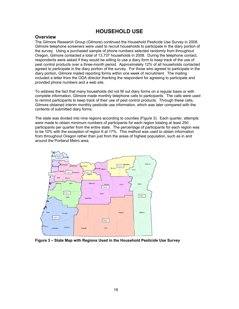# **HOUSEHOLD USE**

#### **Overview**

The Gilmore Research Group (Gilmore) continued the Household Pesticide Use Survey in 2008. Gilmore telephone screeners were used to recruit households to participate in the diary portion of the survey. Using a purchased sample of phone numbers selected randomly from throughout Oregon, Gilmore contacted a total of 13,737 households in 2008. During the telephone contact, respondents were asked if they would be willing to use a diary form to keep track of the use of pest control products over a three-month period. Approximately 12% of all households contacted agreed to participate in the diary portion of the survey. For those who agreed to participate in the diary portion, Gilmore mailed reporting forms within one week of recruitment. The mailing included a letter from the ODA director thanking the respondent for agreeing to participate and provided phone numbers and a web site.

To address the fact that many households did not fill out diary forms on a regular basis or with complete information, Gilmore made monthly telephone calls to participants. The calls were used to remind participants to keep track of their use of pest control products. Through these calls, Gilmore obtained interim monthly pesticide use information, which was later compared with the contents of submitted diary forms.

The state was divided into nine regions according to counties (Figure 3). Each quarter, attempts were made to obtain minimum numbers of participants for each region totaling at least 250 participants per quarter from the entire state. The percentage of participants for each region was to be 10% with the exception of region 6 at 17%. This method was used to obtain information from throughout Oregon rather than just from the areas of highest population, such as in and around the Portland Metro area.



**Figure 3 – State Map with Regions Used in the Household Pesticide Use Survey**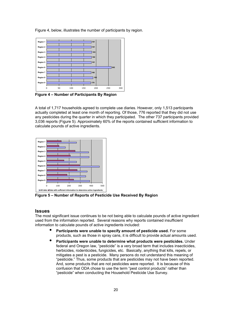Figure 4, below, illustrates the number of participants by region.



**Figure 4 – Number of Participants By Region**

A total of 1,717 households agreed to complete use diaries. However, only 1,513 participants actually completed at least one month of reporting. Of those, 776 reported that they did not use any pesticides during the quarter in which they participated. The other 737 participants provided 3,036 reports (Figure 5). Approximately 60% of the reports contained sufficient information to calculate pounds of active ingredients.



**Figure 5 – Number of Reports of Pesticide Use Received By Region**

#### **Issues**

The most significant issue continues to be not being able to calculate pounds of active ingredient used from the information reported. Several reasons why reports contained insufficient information to calculate pounds of active ingredients included:

- **Participants were unable to specify amount of pesticide used.** For some products, such as those in spray cans, it is difficult to provide actual amounts used.
- **Participants were unable to determine what products were pesticides.** Under federal and Oregon law, "pesticide" is a very broad term that includes insecticides, herbicides, rodenticides, fungicides, etc. Basically, anything that kills, repels, or mitigates a pest is a pesticide. Many persons do not understand this meaning of "pesticide." Thus, some products that are pesticides may not have been reported. And, some products that are not pesticides were reported. It is because of this confusion that ODA chose to use the term "pest control products" rather than "pesticide" when conducting the Household Pesticide Use Survey.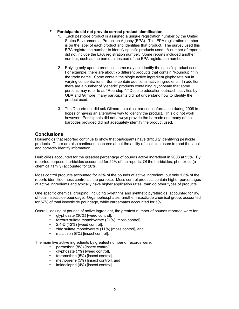#### • **Participants did not provide correct product identification.**

- 1. Each pesticide product is assigned a unique registration number by the United States Environmental Protection Agency (EPA). This EPA registration number is on the label of each product and identifies that product. The survey used this EPA registration number to identify specific products used. A number of reports did not include the EPA registration number. Some reports included another number, such as the barcode, instead of the EPA registration number.
- 2. Relying only upon a product's name may not identify the specific product used. For example, there are about 75 different products that contain "Roundup™" in the trade name. Some contain the single active ingredient glyphosate but in varying concentrations. Some contain additional active ingredients. In addition, there are a number of "generic" products containing glyphosate that some persons may refer to as "Roundup™." Despite education outreach activities by ODA and Gilmore, many participants did not understand how to identify the product used.
- 3. The Department did ask Gilmore to collect bar code information during 2008 in hopes of having an alternative way to identify the product. This did not work however. Participants did not always provide the barcode and many of the barcodes provided did not adequately identify the product used.

#### **Conclusions**

Households that reported continue to show that participants have difficulty identifying pesticide products. There are also continued concerns about the ability of pesticide users to read the label and correctly identify information.

Herbicides accounted for the greatest percentage of pounds active ingredient in 2008 at 53%. By reported purpose, herbicides accounted for 22% of the reports. Of the herbicides, phenoxies (a chemical family) accounted for 28%.

Moss control products accounted for 33% of the pounds of active ingredient, but only 1.3% of the reports identified moss control as the purpose. Moss control products contain higher percentages of active ingredients and typically have higher application rates, than do other types of products.

One specific chemical grouping, including pyrethrins and synthetic pyrethroids, accounted for 9% of total insecticide poundage. Organophosphates, another insecticide chemical group, accounted for 67% of total insecticide poundage, while carbamates accounted for 5%.

Overall, looking at pounds of active ingredient, the greatest number of pounds reported were for:

- glyphosate (30%) [weed control],
- ferrous sulfate monohydrate  $(21\%)$  [moss control],<br>• 2.4-D  $(12\%)$  [weed control]
- 2,4-D (12%) [weed control],
- zinc sulfate monohydrate  $(11\%)$  [moss control], and<br>• malathion  $(6\%)$  linsect controll
- malathion (6%) [insect control].

The main five active ingredients by greatest number of records were:

- permethrin (8%) [insect control],
- glyphosate  $(7%)$  [weed control],<br>• tetramethrin  $(5%)$  [insect control]
- tetramethrin (5%) [insect control],
- methoprene (5%) [insect control], and
- imidacloprid (4%) linsect controll.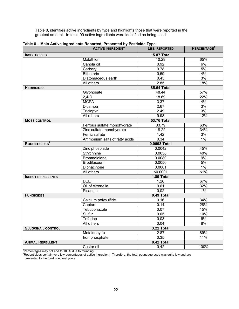Table 8, identifies active ingredients by type and highlights those that were reported in the greatest amount. In total, 99 active ingredients were identified as being used.

|                           | <b>ACTIVE INGREDIENT</b>      | <b>LBS. REPORTED</b> | PERCENTAGE <sup>1</sup> |
|---------------------------|-------------------------------|----------------------|-------------------------|
| <b>INSECTICIDES</b>       |                               | <b>15.87 Total</b>   |                         |
|                           | Malathion                     | 10.29                | 65%                     |
|                           | Canola oil                    | 0.92                 | 6%                      |
|                           | Carbaryl                      | 0.78                 | 5%                      |
|                           | <b>Bifenthrin</b>             | 0.59                 | 4%                      |
|                           | Diatomaceous earth            | 0.45                 | 3%                      |
|                           | All others                    | 2.85                 | 18%                     |
| <b>HERBICIDES</b>         |                               | <b>85.64 Total</b>   |                         |
|                           | Glyphosate                    | 48.44                | 57%                     |
|                           | $2,4-D$                       | 18.69                | 22%                     |
|                           | <b>MCPA</b>                   | 3.37                 | 4%                      |
|                           | <b>Dicamba</b>                | 2.67                 | 3%                      |
|                           | Triclopyr                     | 2.49                 | 3%                      |
|                           | All others                    | 9.98                 | 12%                     |
| <b>MOSS CONTROL</b>       |                               | <b>53.76 Total</b>   |                         |
|                           | Ferrous sulfate monohydrate   | 33.79                | 63%                     |
|                           | Zinc sulfate monohydrate      | 18.22                | 34%                     |
|                           | Ferric sulfate                | 1.42                 | 3%                      |
|                           | Ammonium salts of fatty acids | 0.34                 | 1%                      |
| RODENTICIDES <sup>2</sup> | 0.0093 Total                  |                      |                         |
|                           | Zinc phosphide                | 0.0042               | 45%                     |
|                           | Strychnine                    | 0.0038               | 40%                     |
|                           | <b>Bromadiolone</b>           | 0.0080               | 9%                      |
|                           | Brodifacoum                   | 0.0050               | 5%                      |
|                           | Diphacinone                   | 0.0001               | 1%                      |
|                           | All others                    | < 0.0001             | $1\%$                   |
| <b>INSECT REPELLENTS</b>  |                               | 1.89 Total           |                         |
|                           | <b>DEET</b>                   | 1.26                 | 67%                     |
|                           | Oil of citronella             | 0.61                 | 32%                     |
|                           | Picaridin                     | 0.02                 | 1%                      |
| <b>FUNGICIDES</b>         |                               | 0.49 Total           |                         |
|                           | Calcium polysulfide           | 0.16                 | 34%                     |
|                           | Captan                        | 0.14                 | 28%                     |
|                           | Tebuconazole                  | 0.07                 | 15%                     |
|                           | Sulfur                        | 0.05                 | 10%                     |
|                           | Triforine                     | 0.03                 | $6\%$                   |
|                           | All others                    | 0.04                 | 8%                      |
| <b>SLUG/SNAIL CONTROL</b> |                               | 3.22 Total           |                         |
|                           | Metaldehyde                   | 2.87                 | 89%                     |
|                           | Iron phosphate                | 0.35                 | 11%                     |
| <b>ANIMAL REPELLENT</b>   |                               | 0.42 Total           |                         |
|                           | Castor oil                    | 0.42                 | 100%                    |

**Table 8 – Main Active Ingredients Reported, Presented by Pesticide Type**

<sup>1</sup>Percentages may not add to 100% due to rounding.

<sup>2</sup>Rodenticides contain very low percentages of active ingredient. Therefore, the total poundage used was quite low and are presented to the fourth decimal place.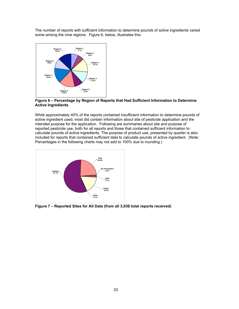The number of reports with sufficient information to determine pounds of active ingredients varied some among the nine regions. Figure 6, below, illustrates this.



**Figure 6 – Percentage by Region of Reports that Had Sufficient Information to Determine Active Ingredients**

While approximately 40% of the reports contained insufficient information to determine pounds of active ingredient used, most did contain information about site of pesticide application and the intended purpose for the application. Following are summaries about site and purpose of reported pesticide use, both for all reports and those that contained sufficient information to calculate pounds of active ingredients. The purpose of product use, presented by quarter is also included for reports that contained sufficient data to calculate pounds of active ingredient. (Note: Percentages in the following charts may not add to 100% due to rounding.)



**Figure 7 – Reported Sites for All Data (from all 3,036 total reports received)**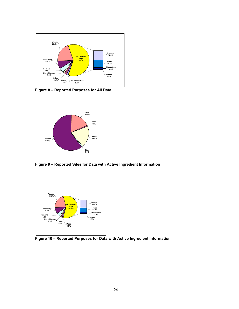

**Figure 8 – Reported Purposes for All Data**



**Figure 9 – Reported Sites for Data with Active Ingredient Information**



**Figure 10 – Reported Purposes for Data with Active Ingredient Information**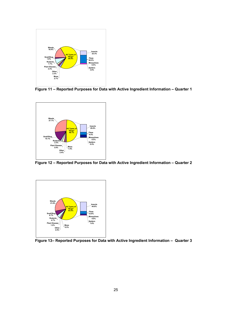

**Figure 11 – Reported Purposes for Data with Active Ingredient Information – Quarter 1**



**Figure 12 – Reported Purposes for Data with Active Ingredient Information – Quarter 2**



**Figure 13– Reported Purposes for Data with Active Ingredient Information – Quarter 3**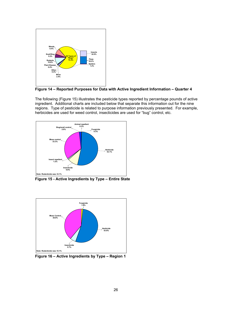

**Figure 14 – Reported Purposes for Data with Active Ingredient Information – Quarter 4**

The following (Figure 15) illustrates the pesticide types reported by percentage pounds of active ingredient. Additional charts are included below that separate this information out for the nine regions. Type of pesticide is related to purpose information previously presented. For example, herbicides are used for weed control, insecticides are used for "bug" control, etc.



**Figure 15 - Active Ingredients by Type – Entire State**



**Figure 16 – Active Ingredients by Type – Region 1**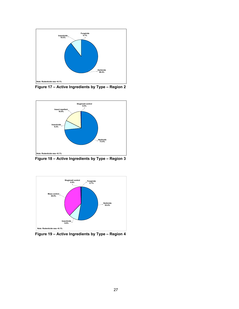

**Figure 17 – Active Ingredients by Type – Region 2**



**Figure 18 – Active Ingredients by Type – Region 3**



**Figure 19 – Active Ingredients by Type – Region 4**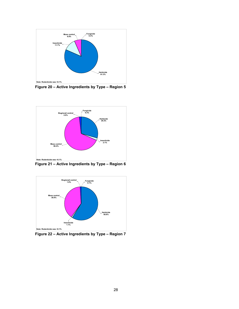

**Figure 20 – Active Ingredients by Type – Region 5**



**Figure 21 – Active Ingredients by Type – Region 6**



**Figure 22 – Active Ingredients by Type – Region 7**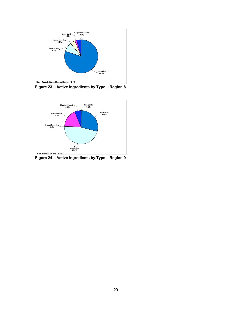

**Figure 23 – Active Ingredients by Type – Region 8**



**Figure 24 – Active Ingredients by Type – Region 9**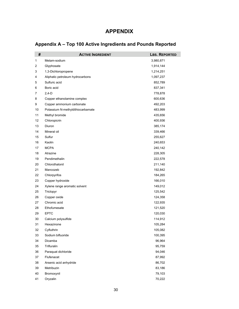# **APPENDIX**

| #                       | <b>ACTIVE INGREDIENT</b>          | LBS. REPORTED |
|-------------------------|-----------------------------------|---------------|
| 1                       | Metam-sodium                      | 3,980,871     |
| $\overline{\mathbf{c}}$ | Glyphosate                        | 1,914,144     |
| 3                       | 1,3-Dichloropropene               | 1,214,251     |
| 4                       | Aliphatic petroleum hydrocarbons  | 1,097,237     |
| 5                       | Sulfuric acid                     | 852,789       |
| 6                       | Boric acid                        | 837,341       |
| 7                       | $2,4-D$                           | 778,878       |
| 8                       | Copper ethanolamine complex       | 600,636       |
| 9                       | Copper ammonium carbonate         | 492,203       |
| 10                      | Potassium N-methyldithiocarbamate | 483,999       |
| 11                      | Methyl bromide                    | 435,656       |
| 12                      | Chloropicrin                      | 400,936       |
| 13                      | Diuron                            | 385,174       |
| 14                      | Mineral oil                       | 339,466       |
| 15                      | Sulfur                            | 255,627       |
| 16                      | Kaolin                            | 240,653       |
| 17                      | <b>MCPA</b>                       | 240,142       |
| 18                      | Atrazine                          | 228,305       |
| 19                      | Pendimethalin                     | 222,578       |
| 20                      | Chlorothalonil                    | 211,140       |
| 21                      | Mancozeb                          | 192,842       |
| 22                      | Chlorpyrifos                      | 184,265       |
| 23                      | Copper hydroxide                  | 166,010       |
| 24                      | Xylene range aromatic solvent     | 149,012       |
| 25                      | Triclopyr                         | 125,542       |
| 26                      | Copper oxide                      | 124,358       |
| 27                      | Chromic acid                      | 122,935       |
| 28                      | Ethofumesate                      | 121,520       |
| 29                      | <b>EPTC</b>                       | 120,030       |
| 30                      | Calcium polysulfide               | 114,912       |
| 31                      | Hexazinone                        | 105,284       |
| 32                      | Cyfluthrin                        | 105,082       |
| 33                      | Sodium bifluoride                 | 100,395       |
| 34                      | <b>Dicamba</b>                    | 96,964        |
| 35                      | Trifluralin                       | 95,759        |
| 36                      | Paraquat dichloride               | 94,046        |
| 37                      | Flufenacet                        | 87,992        |
| 38                      | Arsenic acid anhydride            | 86,702        |
| 39                      | Metribuzin                        | 83,186        |
| 40                      | Bromoxynil                        | 79,103        |
| 41                      | Oryzalin                          | 70,222        |

# **Appendix A – Top 100 Active Ingredients and Pounds Reported**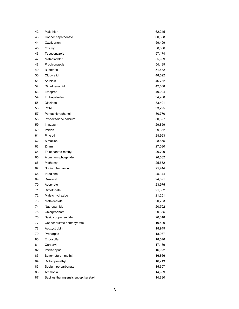| 42 | Malathion                              | 62,245 |
|----|----------------------------------------|--------|
| 43 | Copper naphthenate                     | 60,658 |
| 44 | Oxyfluorfen                            | 59,499 |
| 45 | Oxamyl                                 | 58,606 |
| 46 | Tebuconazole                           | 57,174 |
| 47 | Metaolachlor                           | 55,969 |
| 48 | Propiconazole                          | 54,489 |
| 49 | <b>Bifenthrin</b>                      | 51,882 |
| 50 | Clopyralid                             | 48,592 |
| 51 | Acrolein                               | 46,732 |
| 52 | Dimethenamid                           | 42,538 |
| 53 | Ethoprop                               | 40,004 |
| 54 | Trifloxystrobin                        | 34,768 |
| 55 | Diazinon                               | 33,491 |
| 56 | <b>PCNB</b>                            | 33,295 |
| 57 | Pentachlorophenol                      | 30,770 |
| 58 | Prohexadione calcium                   | 30,327 |
| 59 | Imazapyr                               | 29,859 |
| 60 | Imidan                                 | 29,352 |
| 61 | Pine oil                               | 28,963 |
| 62 | Simazine                               | 28,855 |
| 63 | Ziram                                  | 27,030 |
| 64 | Thiophanate-methyl                     | 26,799 |
| 65 | Aluminum phosphide                     | 26,582 |
| 66 | Methomyl                               | 25,652 |
| 67 | Sodium bentazon                        | 25,244 |
| 68 | Iprodione                              | 25,144 |
| 69 | Dazomet                                | 24,891 |
| 70 | Acephate                               | 23,975 |
| 71 | Dimethoate                             | 21,352 |
| 72 | Maleic hydrazide                       | 21,251 |
| 73 | Metaldehyde                            | 20,763 |
| 74 | Napropamide                            | 20,702 |
| 75 | Chlorpropham                           | 20,385 |
| 76 | Basic copper sulfate                   | 20,018 |
| 77 | Copper sulfate pentahydrate            | 19,529 |
| 78 | Azoxystrobin                           | 18,949 |
| 79 | Propargite                             | 18,937 |
| 80 | Endosulfan                             | 18,576 |
| 81 | Carbaryl                               | 17,189 |
| 82 | Imidacloprid                           | 16,922 |
| 83 | Sulfometuron methyl                    | 16,866 |
| 84 | Diclofop-methyl                        | 16,713 |
| 85 | Sodium percarbonate                    | 15,607 |
| 86 | Ammonia                                | 14,989 |
| 87 | Bacillus thuringiensis subsp. kurstaki | 14,880 |
|    |                                        |        |